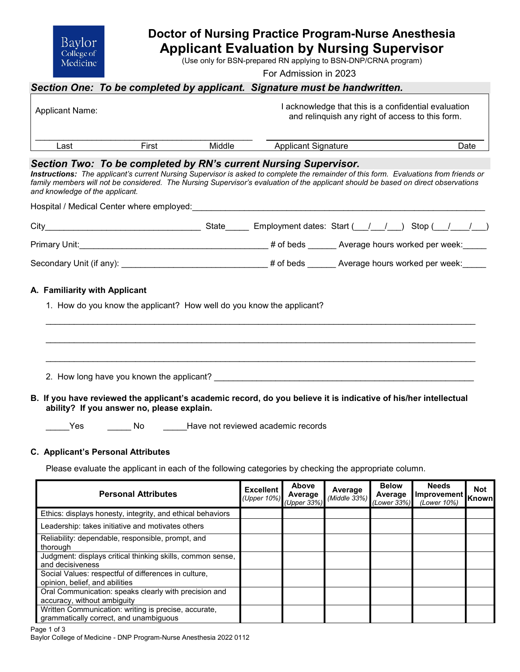

# **Doctor of Nursing Practice Program-Nurse Anesthesia Applicant Evaluation by Nursing Supervisor**

(Use only for BSN-prepared RN applying to BSN-DNP/CRNA program)

For Admission in 2023

# *Section One: To be completed by applicant. Signature must be handwritten.*

| Applicant Name: |       |        | l acknowledge that this is a confidential evaluation<br>and relinguish any right of access to this form. |      |
|-----------------|-------|--------|----------------------------------------------------------------------------------------------------------|------|
| Last            | First | Middle | <b>Applicant Signature</b>                                                                               | Date |

### *Section Two: To be completed by RN's current Nursing Supervisor.*

*Instructions: The applicant's current Nursing Supervisor is asked to complete the remainder of this form. Evaluations from friends or family members will not be considered. The Nursing Supervisor's evaluation of the applicant should be based on direct observations and knowledge of the applicant.* 

Hospital / Medical Center where employed:

|                                                                       | State | Employment dates: Start ( / / ) Stop ( / / )     |
|-----------------------------------------------------------------------|-------|--------------------------------------------------|
|                                                                       |       | # of beds _______ Average hours worked per week: |
|                                                                       |       |                                                  |
| A. Familiarity with Applicant                                         |       |                                                  |
| 1. How do you know the applicant? How well do you know the applicant? |       |                                                  |
|                                                                       |       |                                                  |
|                                                                       |       |                                                  |
|                                                                       |       |                                                  |

2. How long have you known the applicant? **Example 2.** How long have you known the applicant?

**B. If you have reviewed the applicant's academic record, do you believe it is indicative of his/her intellectual ability? If you answer no, please explain.**

Yes Mo Book Have not reviewed academic records

# **C. Applicant's Personal Attributes**

Please evaluate the applicant in each of the following categories by checking the appropriate column.

| <b>Personal Attributes</b>                                                                     | <b>Excellent</b><br>(Upper 10%) | Above<br>Average<br>(Upper 33%) | Average<br>(Middle 33%) | <b>Below</b><br>Average<br>(Lower 33%) | <b>Needs</b><br>Improvement<br>(Lower 10%) | <b>Not</b><br>Knownl |
|------------------------------------------------------------------------------------------------|---------------------------------|---------------------------------|-------------------------|----------------------------------------|--------------------------------------------|----------------------|
| Ethics: displays honesty, integrity, and ethical behaviors                                     |                                 |                                 |                         |                                        |                                            |                      |
| Leadership: takes initiative and motivates others                                              |                                 |                                 |                         |                                        |                                            |                      |
| Reliability: dependable, responsible, prompt, and<br>thorough                                  |                                 |                                 |                         |                                        |                                            |                      |
| Judgment: displays critical thinking skills, common sense,<br>and decisiveness                 |                                 |                                 |                         |                                        |                                            |                      |
| Social Values: respectful of differences in culture,<br>opinion, belief, and abilities         |                                 |                                 |                         |                                        |                                            |                      |
| Oral Communication: speaks clearly with precision and<br>accuracy, without ambiguity           |                                 |                                 |                         |                                        |                                            |                      |
| Written Communication: writing is precise, accurate,<br>grammatically correct, and unambiguous |                                 |                                 |                         |                                        |                                            |                      |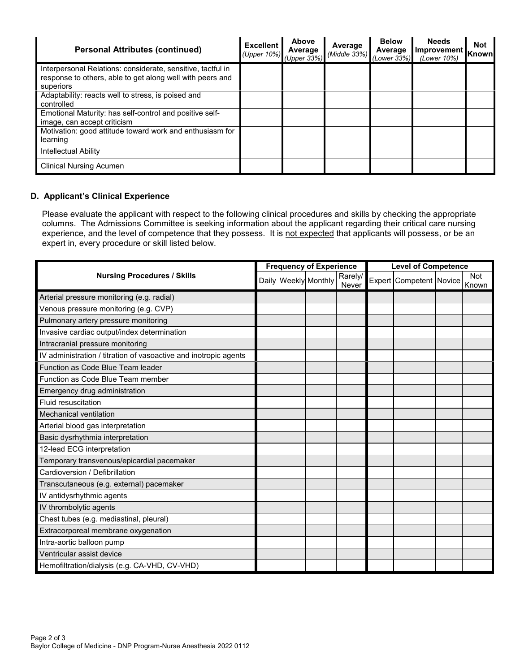| <b>Personal Attributes (continued)</b>                                                                                                | <b>Excellent</b><br>(Upper 10%) (Upper 33%) | Above<br>Average | Average<br>$(Middle 33%)$ (Lower 33%) | <b>Below</b><br>Average | <b>Needs</b><br>Improvement Known<br>(Lower 10%) | <b>Not</b> |
|---------------------------------------------------------------------------------------------------------------------------------------|---------------------------------------------|------------------|---------------------------------------|-------------------------|--------------------------------------------------|------------|
| Interpersonal Relations: considerate, sensitive, tactful in<br>response to others, able to get along well with peers and<br>superiors |                                             |                  |                                       |                         |                                                  |            |
| Adaptability: reacts well to stress, is poised and<br>controlled                                                                      |                                             |                  |                                       |                         |                                                  |            |
| Emotional Maturity: has self-control and positive self-<br>image, can accept criticism                                                |                                             |                  |                                       |                         |                                                  |            |
| Motivation: good attitude toward work and enthusiasm for<br>learning                                                                  |                                             |                  |                                       |                         |                                                  |            |
| Intellectual Ability                                                                                                                  |                                             |                  |                                       |                         |                                                  |            |
| <b>Clinical Nursing Acumen</b>                                                                                                        |                                             |                  |                                       |                         |                                                  |            |

# **D. Applicant's Clinical Experience**

Please evaluate the applicant with respect to the following clinical procedures and skills by checking the appropriate columns. The Admissions Committee is seeking information about the applicant regarding their critical care nursing experience, and the level of competence that they possess. It is not expected that applicants will possess, or be an expert in, every procedure or skill listed below.

| <b>Nursing Procedures / Skills</b>                               |  | <b>Frequency of Experience</b> |                      |                  |  | <b>Level of Competence</b> |  |              |  |
|------------------------------------------------------------------|--|--------------------------------|----------------------|------------------|--|----------------------------|--|--------------|--|
|                                                                  |  |                                | Daily Weekly Monthly | Rarely/<br>Never |  | Expert Competent Novice    |  | Not<br>Known |  |
| Arterial pressure monitoring (e.g. radial)                       |  |                                |                      |                  |  |                            |  |              |  |
| Venous pressure monitoring (e.g. CVP)                            |  |                                |                      |                  |  |                            |  |              |  |
| Pulmonary artery pressure monitoring                             |  |                                |                      |                  |  |                            |  |              |  |
| Invasive cardiac output/index determination                      |  |                                |                      |                  |  |                            |  |              |  |
| Intracranial pressure monitoring                                 |  |                                |                      |                  |  |                            |  |              |  |
| IV administration / titration of vasoactive and inotropic agents |  |                                |                      |                  |  |                            |  |              |  |
| Function as Code Blue Team leader                                |  |                                |                      |                  |  |                            |  |              |  |
| Function as Code Blue Team member                                |  |                                |                      |                  |  |                            |  |              |  |
| Emergency drug administration                                    |  |                                |                      |                  |  |                            |  |              |  |
| <b>Fluid resuscitation</b>                                       |  |                                |                      |                  |  |                            |  |              |  |
| Mechanical ventilation                                           |  |                                |                      |                  |  |                            |  |              |  |
| Arterial blood gas interpretation                                |  |                                |                      |                  |  |                            |  |              |  |
| Basic dysrhythmia interpretation                                 |  |                                |                      |                  |  |                            |  |              |  |
| 12-lead ECG interpretation                                       |  |                                |                      |                  |  |                            |  |              |  |
| Temporary transvenous/epicardial pacemaker                       |  |                                |                      |                  |  |                            |  |              |  |
| Cardioversion / Defibrillation                                   |  |                                |                      |                  |  |                            |  |              |  |
| Transcutaneous (e.g. external) pacemaker                         |  |                                |                      |                  |  |                            |  |              |  |
| IV antidysrhythmic agents                                        |  |                                |                      |                  |  |                            |  |              |  |
| IV thrombolytic agents                                           |  |                                |                      |                  |  |                            |  |              |  |
| Chest tubes (e.g. mediastinal, pleural)                          |  |                                |                      |                  |  |                            |  |              |  |
| Extracorporeal membrane oxygenation                              |  |                                |                      |                  |  |                            |  |              |  |
| Intra-aortic balloon pump                                        |  |                                |                      |                  |  |                            |  |              |  |
| Ventricular assist device                                        |  |                                |                      |                  |  |                            |  |              |  |
| Hemofiltration/dialysis (e.g. CA-VHD, CV-VHD)                    |  |                                |                      |                  |  |                            |  |              |  |